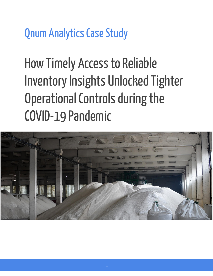**Qnum Analytics Case Study** 

**How Timely Access to Reliable Inventory Insights Unlocked Tighter** Operational Controls during the **COVID-19 Pandemic** 

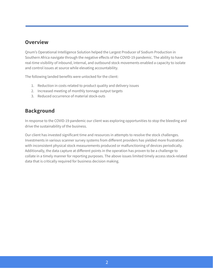## **Overview**

Qnum's Operational Intelligence Solution helped the Largest Producer of Sodium Production in Southern Africa navigate through the negative effects of the COVID-19 pandemic. The ability to have real-time visibility of inbound, internal, and outbound stock movements enabled a capacity to isolate and control issues at source while elevating accountability.

The following landed benefits were unlocked for the client:

- 1. Reduction in costs related to product quality and delivery issues
- 2. Increased meeting of monthly tonnage output targets
- 3. Reduced occurrence of material stock-outs

## **Background**

In response to the COVID-19 pandemic our client was exploring opportunities to stop the bleeding and drive the sustainability of the business.

Our client has invested significant time and resources in attempts to resolve the stock challenges. Investments in various scanner survey systems from different providers has yielded more frustration with inconsistent physical stock measurements produced or malfunctioning of devices periodically. Additionally, the data capture at different points in the operation has proven to be a challenge to collate in a timely manner for reporting purposes. The above issues limited timely access stock-related data that is critically required for business decision making.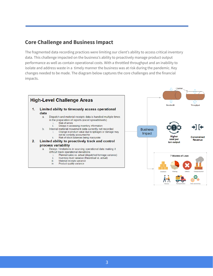## **Core Challenge and Business Impact**

The fragmented data recording practices were limiting our client's ability to access critical inventory data. This challenge impacted on the business's ability to proactively manage product output performance as well as contain operational costs. With a throttled throughput and an inability to isolate and address waste in a timely manner the business was at risk during the pandemic. Key changes needed to be made. The diagram below captures the core challenges and the financial impacts.